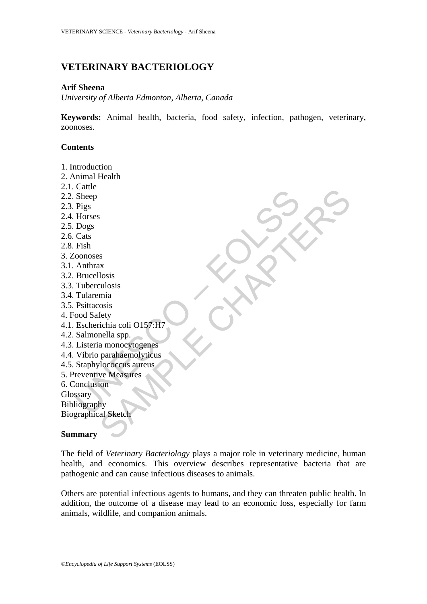# **VETERINARY BACTERIOLOGY**

# **Arif Sheena**

*University of Alberta Edmonton, Alberta, Canada* 

**Keywords:** Animal health, bacteria, food safety, infection, pathogen, veterinary, zoonoses.

# **Contents**

sheep<br>
Sheep<br>
Pigs<br>
Horses<br>
Dogs<br>
Horses<br>
Cats<br>
Cats<br>
Cats<br>
Cats<br>
Cats<br>
Cats<br>
Cats<br>
Anthrax<br>
Brucellosis<br>
Thiacronics<br>
Anthrax<br>
Brucellosis<br>
Thiacrosis<br>
Psittacoosis<br>
cod Safety<br>
Escherichia coli O157:H7<br>
Salmonella spp.<br> s<br>
Samples and the set of the set of the set of the set of the set of the set of the set of the set of the set of the set of the set of the set of the set of the set of the set of the set of the set of the set of the set o 1. Introduction 2. Animal Health 2.1. Cattle 2.2. Sheep 2.3. Pigs 2.4. Horses 2.5. Dogs 2.6. Cats 2.8. Fish 3. Zoonoses 3.1. Anthrax 3.2. Brucellosis 3.3. Tuberculosis 3.4. Tularemia 3.5. Psittacosis 4. Food Safety 4.1. Escherichia coli O157:H7 4.2. Salmonella spp. 4.3. Listeria monocytogenes 4.4. Vibrio parahaemolyticus 4.5. Staphylococcus aureus 5. Preventive Measures 6. Conclusion **Glossary** Bibliography Biographical Sketch

#### **Summary**

The field of *Veterinary Bacteriology* plays a major role in veterinary medicine, human health, and economics. This overview describes representative bacteria that are pathogenic and can cause infectious diseases to animals.

Others are potential infectious agents to humans, and they can threaten public health. In addition, the outcome of a disease may lead to an economic loss, especially for farm animals, wildlife, and companion animals.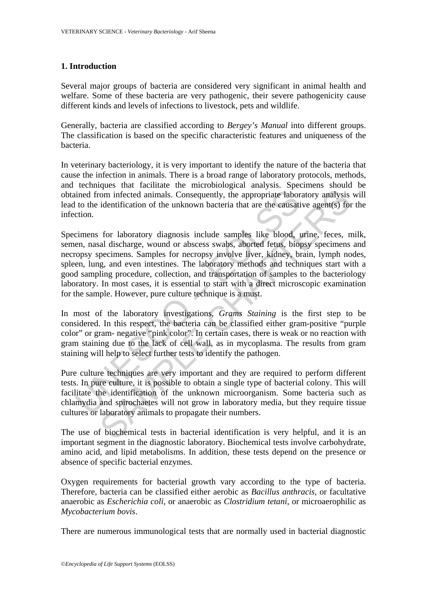# **1. Introduction**

Several major groups of bacteria are considered very significant in animal health and welfare. Some of these bacteria are very pathogenic, their severe pathogenicity cause different kinds and levels of infections to livestock, pets and wildlife.

Generally, bacteria are classified according to *Bergey's Manual* into different groups. The classification is based on the specific characteristic features and uniqueness of the bacteria.

In veterinary bacteriology, it is very important to identify the nature of the bacteria that cause the infection in animals. There is a broad range of laboratory protocols, methods, and techniques that facilitate the microbiological analysis. Specimens should be obtained from infected animals. Consequently, the appropriate laboratory analysis will lead to the identification of the unknown bacteria that are the causative agent(s) for the infection.

ined from infected animals. Consequently, the appropriate labor<br>to the identification of the unknown bacteria that are the causati<br>ction.<br>cimens for laboratory diagnosis include samples like blood,<br>en, nasal discharge, wou rom infected animals. Consequently, the appropriate laboratory analysis identification of the unknown bacteria that are the eausative agent(s) for for laboratory diagnosis include samples like blood, urine, feces, n al dis Specimens for laboratory diagnosis include samples like blood, urine, feces, milk, semen, nasal discharge, wound or abscess swabs, aborted fetus, biopsy specimens and necropsy specimens. Samples for necropsy involve liver, kidney, brain, lymph nodes, spleen, lung, and even intestines. The laboratory methods and techniques start with a good sampling procedure, collection, and transportation of samples to the bacteriology laboratory. In most cases, it is essential to start with a direct microscopic examination for the sample. However, pure culture technique is a must.

In most of the laboratory investigations, *Grams Staining* is the first step to be considered. In this respect, the bacteria can be classified either gram-positive "purple color" or gram- negative "pink color". In certain cases, there is weak or no reaction with gram staining due to the lack of cell wall, as in mycoplasma. The results from gram staining will help to select further tests to identify the pathogen.

Pure culture techniques are very important and they are required to perform different tests. In pure culture, it is possible to obtain a single type of bacterial colony. This will facilitate the identification of the unknown microorganism. Some bacteria such as chlamydia and spirochaetes will not grow in laboratory media, but they require tissue cultures or laboratory animals to propagate their numbers.

The use of biochemical tests in bacterial identification is very helpful, and it is an important segment in the diagnostic laboratory. Biochemical tests involve carbohydrate, amino acid, and lipid metabolisms. In addition, these tests depend on the presence or absence of specific bacterial enzymes.

Oxygen requirements for bacterial growth vary according to the type of bacteria. Therefore, bacteria can be classified either aerobic as *Bacillus anthracis*, or facultative anaerobic as *Escherichia coli*, or anaerobic as *Clostridium tetani*, or microaerophilic as *Mycobacterium bovis*.

There are numerous immunological tests that are normally used in bacterial diagnostic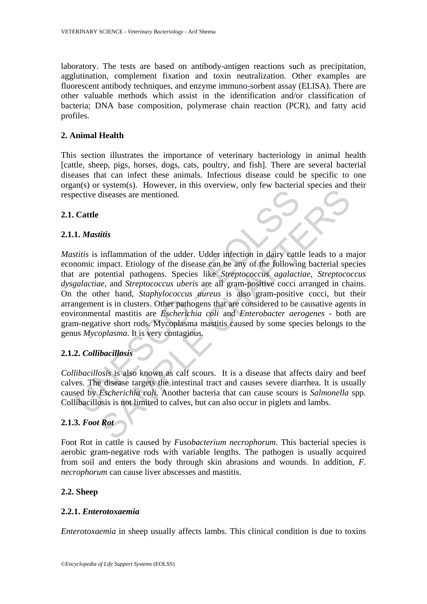laboratory. The tests are based on antibody-antigen reactions such as precipitation, agglutination, complement fixation and toxin neutralization. Other examples are fluorescent antibody techniques, and enzyme immuno-sorbent assay (ELISA). There are other valuable methods which assist in the identification and/or classification of bacteria; DNA base composition, polymerase chain reaction (PCR), and fatty acid profiles.

# **2. Animal Health**

This section illustrates the importance of veterinary bacteriology in animal health [cattle, sheep, pigs, horses, dogs, cats, poultry, and fish]. There are several bacterial diseases that can infect these animals. Infectious disease could be specific to one organ(s) or system(s). However, in this overview, only few bacterial species and their respective diseases are mentioned.

# **2.1. Cattle**

# **2.1.1.** *Mastitis*

**Cattle**<br> **Cattle**<br> **Cattle**<br> **Cattle**<br> **Cattle**<br> **Cattle**<br> **Cattle**<br> **Cattle**<br> **Cattle**<br> **Cattle**<br> **Cattle**<br> **Cattle**<br> **Cattle**<br> **Cattle**<br> **Cattle**<br> **Cattle**<br> **Cattle**<br> **Cattle**<br> **Cattle**<br> **Cattle**<br> **Cattle**<br> **Cattle**<br> **C** Altreasure are mentioned.<br>
Subsequences are mentioned.<br>
This inflammation of the udder. Udder infection in dairy cattle leads to a m<br>
impact. Etiology of the disease can be any of the following bacterial spectral<br>
otential *Mastitis* is inflammation of the udder. Udder infection in dairy cattle leads to a major economic impact. Etiology of the disease can be any of the following bacterial species that are potential pathogens. Species like *Streptococcus agalactiae*, *Streptococcus dysgalactiae*, and *Streptococcus uberis* are all gram-positive cocci arranged in chains. On the other hand, *Staphylococcus aureus* is also gram-positive cocci, but their arrangement is in clusters. Other pathogens that are considered to be causative agents in environmental mastitis are *Escherichia coli* and *Enterobacter aerogenes* - both are gram-negative short rods. Mycoplasma mastitis caused by some species belongs to the genus *Mycoplasma*. It is very contagious.

# **2.1.2.** *Collibacillosis*

*Collibacillosis* is also known as calf scours. It is a disease that affects dairy and beef calves. The disease targets the intestinal tract and causes severe diarrhea. It is usually caused by *Escherichia coli*. Another bacteria that can cause scours is *Salmonella* spp*.* Collibacillosis is not limited to calves, but can also occur in piglets and lambs.

# **2.1.3.** *Foot Rot*

Foot Rot in cattle is caused by *Fusobacterium necrophorum*. This bacterial species is aerobic gram-negative rods with variable lengths. The pathogen is usually acquired from soil and enters the body through skin abrasions and wounds. In addition, *F. necrophorum* can cause liver abscesses and mastitis.

# **2.2. Sheep**

#### **2.2.1.** *Enterotoxaemia*

*Enterotoxaemia* in sheep usually affects lambs. This clinical condition is due to toxins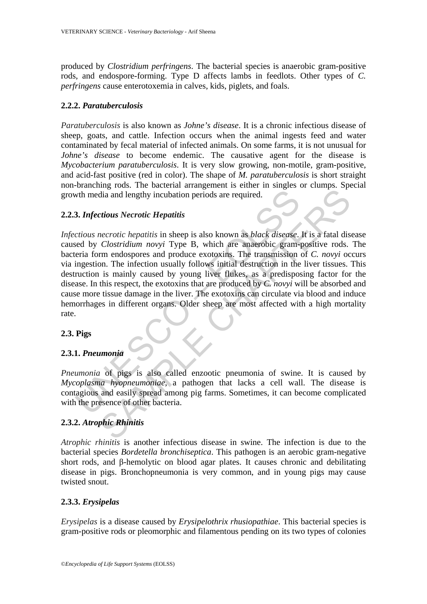produced by *Clostridium perfringens*. The bacterial species is anaerobic gram-positive rods, and endospore-forming. Type D affects lambs in feedlots. Other types of *C. perfringens* cause enterotoxemia in calves, kids, piglets, and foals.

# **2.2.2.** *Paratuberculosis*

*Paratuberculosis* is also known as *Johne's disease*. It is a chronic infectious disease of sheep, goats, and cattle. Infection occurs when the animal ingests feed and water contaminated by fecal material of infected animals. On some farms, it is not unusual for *Johne's disease* to become endemic. The causative agent for the disease is *Mycobacterium paratuberculosis*. It is very slow growing, non-motile, gram-positive, and acid-fast positive (red in color). The shape of *M. paratuberculosis* is short straight non-branching rods. The bacterial arrangement is either in singles or clumps. Special growth media and lengthy incubation periods are required.

# **2.2.3.** *Infectious Necrotic Hepatitis*

With media and lengthy incubation periods are required.<br> **3. Infectious Necrotic Hepatitis**<br>
crious necrotic hepatitis in sheep is also known as black disease.<br>
eed by *Clostridium novyi* Type B, which are anaerobic gram-<br> dia and lengthy incubation periods are required.<br>
edia and lengthy incubation periods are required.<br>
edia and lengthy incubation periods are required.<br>
edia and lengthy incubation periods are required.<br>
edia Clostridium no *Infectious necrotic hepatitis* in sheep is also known as *black disease*. It is a fatal disease caused by *Clostridium novyi* Type B, which are anaerobic gram-positive rods. The bacteria form endospores and produce exotoxins. The transmission of *C. novyi* occurs via ingestion. The infection usually follows initial destruction in the liver tissues. This destruction is mainly caused by young liver flukes, as a predisposing factor for the disease. In this respect, the exotoxins that are produced by *C. novyi* will be absorbed and cause more tissue damage in the liver. The exotoxins can circulate via blood and induce hemorrhages in different organs. Older sheep are most affected with a high mortality rate.

# **2.3. Pigs**

# **2.3.1.** *Pneumonia*

*Pneumonia* of pigs is also called enzootic pneumonia of swine. It is caused by *Mycoplasma hyopneumoniae*, a pathogen that lacks a cell wall. The disease is contagious and easily spread among pig farms. Sometimes, it can become complicated with the presence of other bacteria.

# **2.3.2.** *Atrophic Rhinitis*

*Atrophic rhinitis* is another infectious disease in swine. The infection is due to the bacterial species *Bordetella bronchiseptica*. This pathogen is an aerobic gram-negative short rods, and β-hemolytic on blood agar plates. It causes chronic and debilitating disease in pigs. Bronchopneumonia is very common, and in young pigs may cause twisted snout.

# **2.3.3.** *Erysipelas*

*Erysipelas* is a disease caused by *Erysipelothrix rhusiopathiae*. This bacterial species is gram-positive rods or pleomorphic and filamentous pending on its two types of colonies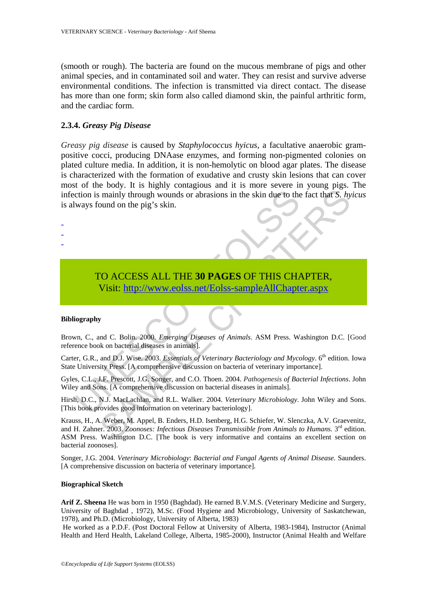(smooth or rough). The bacteria are found on the mucous membrane of pigs and other animal species, and in contaminated soil and water. They can resist and survive adverse environmental conditions. The infection is transmitted via direct contact. The disease has more than one form; skin form also called diamond skin, the painful arthritic form, and the cardiac form.

### **2.3.4.** *Greasy Pig Disease*

*Greasy pig disease* is caused by *Staphylococcus hyicus*, a facultative anaerobic grampositive cocci, producing DNAase enzymes, and forming non-pigmented colonies on plated culture media. In addition, it is non-hemolytic on blood agar plates. The disease is characterized with the formation of exudative and crusty skin lesions that can cover most of the body. It is highly contagious and it is more severe in young pigs. The infection is mainly through wounds or abrasions in the skin due to the fact that *S. hyicus* is always found on the pig's skin.

commission is mainly through wounds or abrasions in the skin due to the<br>ways found on the pig's skin.<br>
TO ACCESS ALL THE 30 PAGES OF THIS CHA<br>
Visit: http://www.eolss.net/Eolss-sampleAllChapte<br>
iography<br>
wn, C., and C. Bol TO ACCESS ALL THE **30 PAGES** OF THIS CHAPTER, Visit: http://www.eolss.net/Eolss-sampleAllChapter.aspx

#### **Bibliography**

- - -

Brown, C., and C. Bolin. 2000. *Emerging Diseases of Animals*. ASM Press. Washington D.C. [Good reference book on bacterial diseases in animals].

Carter, G.R., and D.J. Wise. 2003. *Essentials of Veterinary Bacteriology and Mycology*. 6<sup>th</sup> edition. Iowa State University Press. [A comprehensive discussion on bacteria of veterinary importance].

Gyles, C.L., J.F. Prescott, J.G. Songer, and C.O. Thoen. 2004. *Pathogenesis of Bacterial Infections*. John Wiley and Sons. [A comprehensive discussion on bacterial diseases in animals].

Hirsh, D.C., N.J. MacLachlan, and R.L. Walker. 2004. *Veterinary Microbiology*. John Wiley and Sons. [This book provides good information on veterinary bacteriology].

mainly through wounds or abrasions in the skin due to the fact that *S. hy*<br>
bound on the pig's skin.<br>
bound on the pig's skin.<br> **SAMPLERS ALL THE 30 PAGES OF THIS C[HAP](https://www.eolss.net/ebooklib/sc_cart.aspx?File=E5-15A-24)TER,**<br> **SAMPLERS CHAPTERS**<br> **SAMPLERS CHAPTERS**<br> **SAMP** Krauss, H., A. Weber, M. Appel, B. Enders, H.D. Isenberg, H.G. Schiefer, W. Slenczka, A.V. Graevenitz, and H. Zahner. 2003. *Zoonoses: Infectious Diseases Transmissible from Animals to Humans.* 3rd edition. ASM Press. Washington D.C. [The book is very informative and contains an excellent section on bacterial zoonoses].

Songer, J.G. 2004. *Veterinary Microbiology*: *Bacterial and Fungal Agents of Animal Disease.* Saunders. [A comprehensive discussion on bacteria of veterinary importance].

#### **Biographical Sketch**

**Arif Z. Sheena** He was born in 1950 (Baghdad). He earned B.V.M.S. (Veterinary Medicine and Surgery, University of Baghdad , 1972), M.Sc. (Food Hygiene and Microbiology, University of Saskatchewan, 1978), and Ph.D. (Microbiology, University of Alberta, 1983)

 He worked as a P.D.F. (Post Doctoral Fellow at University of Alberta, 1983-1984), Instructor (Animal Health and Herd Health, Lakeland College, Alberta, 1985-2000), Instructor (Animal Health and Welfare